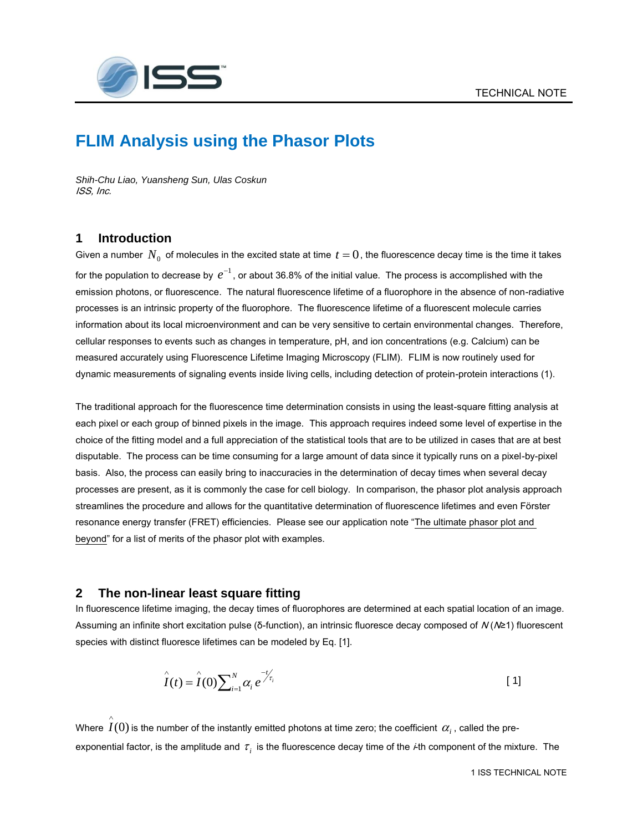

## **FLIM Analysis using the Phasor Plots**

*Shih-Chu Liao, Yuansheng Sun, Ulas Coskun* ISS, Inc.

## **1 Introduction**

Given a number  $\,N_0\,$  of molecules in the excited state at time  $\,t=0$  , the fluorescence decay time is the time it takes for the population to decrease by  $\,e^{-1}$  , or about 36.8% of the initial value. The process is accomplished with the emission photons, or fluorescence. The natural fluorescence lifetime of a fluorophore in the absence of non-radiative processes is an intrinsic property of the fluorophore. The fluorescence lifetime of a fluorescent molecule carries information about its local microenvironment and can be very sensitive to certain environmental changes. Therefore, cellular responses to events such as changes in temperature, pH, and ion concentrations (e.g. Calcium) can be measured accurately using Fluorescence Lifetime Imaging Microscopy (FLIM). FLIM is now routinely used for dynamic measurements of signaling events inside living cells, including detection of protein-protein interactions (1).

The traditional approach for the fluorescence time determination consists in using the least-square fitting analysis at each pixel or each group of binned pixels in the image. This approach requires indeed some level of expertise in the choice of the fitting model and a full appreciation of the statistical tools that are to be utilized in cases that are at best disputable. The process can be time consuming for a large amount of data since it typically runs on a pixel-by-pixel basis. Also, the process can easily bring to inaccuracies in the determination of decay times when several decay processes are present, as it is commonly the case for cell biology. In comparison, the phasor plot analysis approach streamlines the procedure and allows for the quantitative determination of fluorescence lifetimes and even Förster resonance energy transfer (FRET) efficiencies. Please see our application note "The ultimate phasor plot and beyond" for a list of merits of the phasor plot with examples.

## **2 The non-linear least square fitting**

In fluorescence lifetime imaging, the decay times of fluorophores are determined at each spatial location of an image. Assuming an infinite short excitation pulse (δ-function), an intrinsic fluoresce decay composed of N (N≥1) fluorescent species with distinct fluoresce lifetimes can be modeled by Eq. [1].

$$
\hat{I}(t) = \hat{I}(0) \sum_{i=1}^{N} \alpha_i e^{-t/\tau_i}
$$
 [1]

Where  $\,I(0)$  is the number of the instantly emitted photons at time zero; the coefficient  $\,\alpha_i^{}$  , called the pre- $\wedge$ exponential factor, is the amplitude and  $\,\tau_i^{}$  is the fluorescence decay time of the *i*-th component of the mixture. The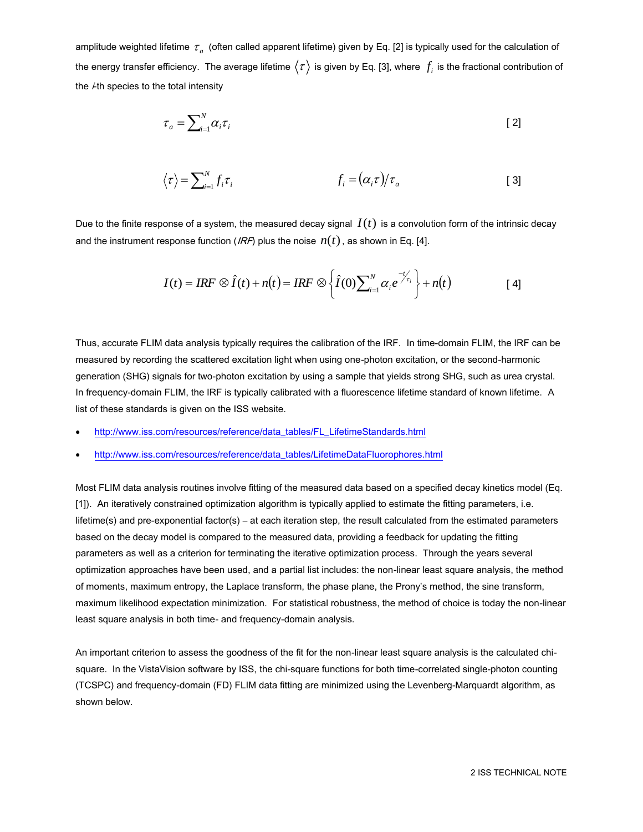amplitude weighted lifetime  $\,\tau_{_a}\,$  (often called apparent lifetime) given by Eq. [2] is typically used for the calculation of the energy transfer efficiency. The average lifetime  $\langle\tau\rangle$  is given by Eq. [3], where  $\,f_i$  is the fractional contribution of the  $\dot{+}$ th species to the total intensity

$$
\tau_a = \sum_{i=1}^{N} \alpha_i \tau_i
$$
 [2]

$$
\langle \tau \rangle = \sum_{i=1}^{N} f_i \tau_i \qquad f_i = (\alpha_i \tau) / \tau_a \qquad [3]
$$

Due to the finite response of a system, the measured decay signal  $\,I(t)\,$  is a convolution form of the intrinsic decay and the instrument response function (*IRF*) plus the noise  $n(t)$ , as shown in Eq. [4].

$$
I(t) = IRF \otimes \hat{I}(t) + n(t) = IRF \otimes \left\{ \hat{I}(0) \sum_{i=1}^{N} \alpha_i e^{-t/\tau_i} \right\} + n(t)
$$
 [4]

Thus, accurate FLIM data analysis typically requires the calibration of the IRF. In time-domain FLIM, the IRF can be measured by recording the scattered excitation light when using one-photon excitation, or the second-harmonic generation (SHG) signals for two-photon excitation by using a sample that yields strong SHG, such as urea crystal. In frequency-domain FLIM, the IRF is typically calibrated with a fluorescence lifetime standard of known lifetime. A list of these standards is given on the ISS website.

- [http://www.iss.com/resources/reference/data\\_tables/FL\\_LifetimeStandards.html](http://www.iss.com/resources/reference/data_tables/FL_LifetimeStandards.html)
- [http://www.iss.com/resources/reference/data\\_tables/LifetimeDataFluorophores.html](http://www.iss.com/resources/reference/data_tables/LifetimeDataFluorophores.html)

Most FLIM data analysis routines involve fitting of the measured data based on a specified decay kinetics model (Eq. [1]). An iteratively constrained optimization algorithm is typically applied to estimate the fitting parameters, i.e. lifetime(s) and pre-exponential factor(s) – at each iteration step, the result calculated from the estimated parameters based on the decay model is compared to the measured data, providing a feedback for updating the fitting parameters as well as a criterion for terminating the iterative optimization process. Through the years several optimization approaches have been used, and a partial list includes: the non-linear least square analysis, the method of moments, maximum entropy, the Laplace transform, the phase plane, the Prony's method, the sine transform, maximum likelihood expectation minimization. For statistical robustness, the method of choice is today the non-linear least square analysis in both time- and frequency-domain analysis.

An important criterion to assess the goodness of the fit for the non-linear least square analysis is the calculated chisquare. In the VistaVision software by ISS, the chi-square functions for both time-correlated single-photon counting (TCSPC) and frequency-domain (FD) FLIM data fitting are minimized using the Levenberg-Marquardt algorithm, as shown below.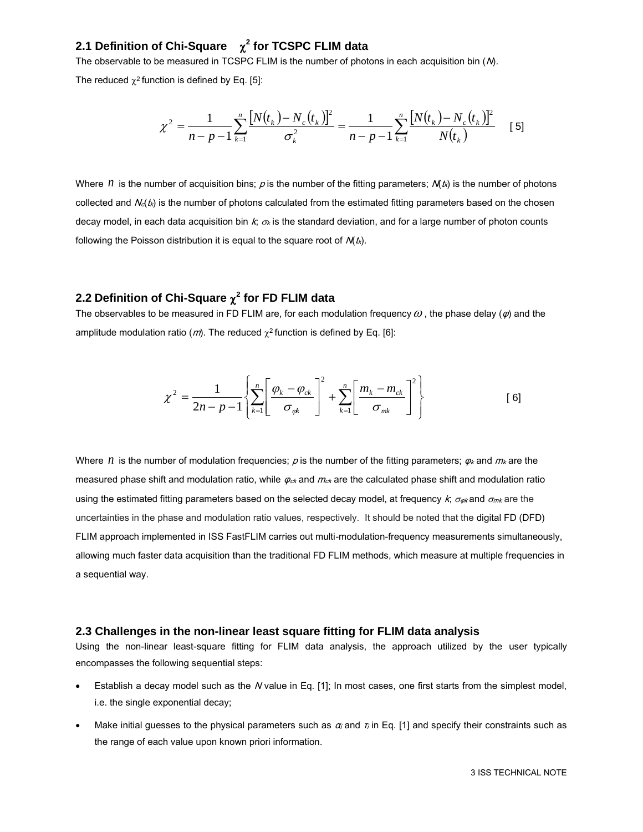## **2.1 Definition of Chi-Square 2 for TCSPC FLIM data**

The observable to be measured in TCSPC FLIM is the number of photons in each acquisition bin (M).

The reduced  $\chi^2$  function is defined by Eq. [5]:

$$
\chi^2 = \frac{1}{n-p-1} \sum_{k=1}^n \frac{[N(t_k) - N_c(t_k)]^2}{\sigma_k^2} = \frac{1}{n-p-1} \sum_{k=1}^n \frac{[N(t_k) - N_c(t_k)]^2}{N(t_k)} \quad [5]
$$

Where  $n$  is the number of acquisition bins;  $\rho$  is the number of the fitting parameters;  $M(t_k)$  is the number of photons collected and  $N_d(t_k)$  is the number of photons calculated from the estimated fitting parameters based on the chosen decay model, in each data acquisition bin  $k$ ;  $\sigma_k$  is the standard deviation, and for a large number of photon counts following the Poisson distribution it is equal to the square root of  $\mathcal{N}(t_k)$ .

## **2.2 Definition of Chi-Square 2 for FD FLIM data**

The observables to be measured in FD FLIM are, for each modulation frequency  $\omega$  , the phase delay  $(\varphi)$  and the amplitude modulation ratio (*m*). The reduced  $\chi^2$  function is defined by Eq. [6]:

$$
\chi^{2} = \frac{1}{2n - p - 1} \left\{ \sum_{k=1}^{n} \left[ \frac{\varphi_{k} - \varphi_{ck}}{\sigma_{ck}} \right]^{2} + \sum_{k=1}^{n} \left[ \frac{m_{k} - m_{ck}}{\sigma_{mk}} \right]^{2} \right\}
$$
 [6]

Where  $n$  is the number of modulation frequencies;  $p$  is the number of the fitting parameters;  $\varphi_k$  and  $m_k$  are the measured phase shift and modulation ratio, while  $\varphi_{c\kappa}$  and  $m_{c\kappa}$  are the calculated phase shift and modulation ratio using the estimated fitting parameters based on the selected decay model, at frequency k;  $\sigma_{\phi k}$  and  $\sigma_{mk}$  are the uncertainties in the phase and modulation ratio values, respectively. It should be noted that the digital FD (DFD) FLIM approach implemented in ISS FastFLIM carries out multi-modulation-frequency measurements simultaneously, allowing much faster data acquisition than the traditional FD FLIM methods, which measure at multiple frequencies in a sequential way.

#### **2.3 Challenges in the non-linear least square fitting for FLIM data analysis**

Using the non-linear least-square fitting for FLIM data analysis, the approach utilized by the user typically encompasses the following sequential steps:

- Establish a decay model such as the N value in Eq. [1]; In most cases, one first starts from the simplest model, i.e. the single exponential decay;
- Make initial guesses to the physical parameters such as  $\alpha_i$  and  $\pi$  in Eq. [1] and specify their constraints such as the range of each value upon known priori information.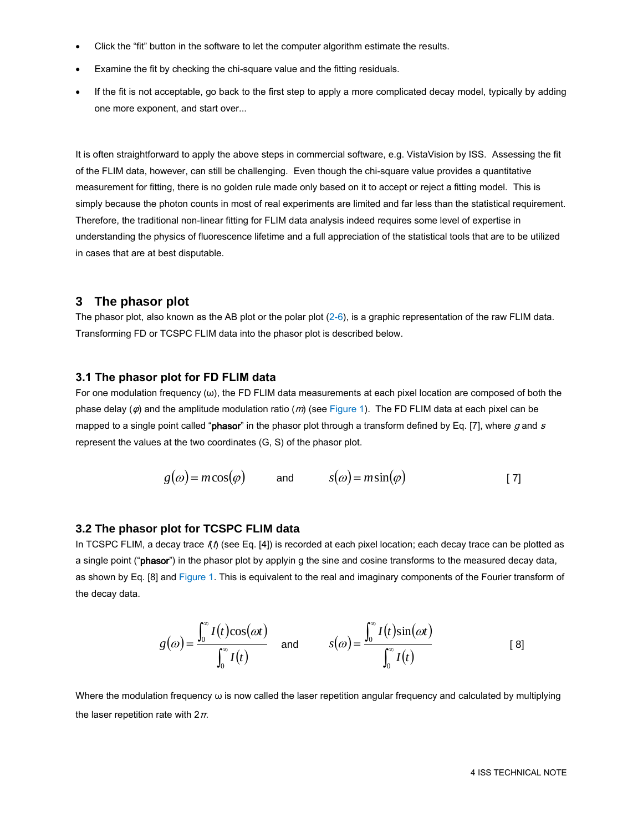- Click the "fit" button in the software to let the computer algorithm estimate the results.
- Examine the fit by checking the chi-square value and the fitting residuals.
- If the fit is not acceptable, go back to the first step to apply a more complicated decay model, typically by adding one more exponent, and start over...

It is often straightforward to apply the above steps in commercial software, e.g. VistaVision by ISS. Assessing the fit of the FLIM data, however, can still be challenging. Even though the chi-square value provides a quantitative measurement for fitting, there is no golden rule made only based on it to accept or reject a fitting model. This is simply because the photon counts in most of real experiments are limited and far less than the statistical requirement. Therefore, the traditional non-linear fitting for FLIM data analysis indeed requires some level of expertise in understanding the physics of fluorescence lifetime and a full appreciation of the statistical tools that are to be utilized in cases that are at best disputable.

#### **3 The phasor plot**

The phasor plot, also known as the AB plot or the polar plot  $(2-6)$ , is a graphic representation of the raw FLIM data. Transforming FD or TCSPC FLIM data into the phasor plot is described below.

#### **3.1 The phasor plot for FD FLIM data**

For one modulation frequency  $(\omega)$ , the FD FLIM data measurements at each pixel location are composed of both the phase delay ( $\varphi$ ) and the amplitude modulation ratio (*m*) (see Figure 1). The FD FLIM data at each pixel can be mapped to a single point called "phasor" in the phasor plot through a transform defined by Eq. [7], where  $g$  and  $s$ represent the values at the two coordinates (G, S) of the phasor plot.

$$
g(\omega) = m\cos(\varphi)
$$
 and  $s(\omega) = m\sin(\varphi)$  [7]

#### **3.2 The phasor plot for TCSPC FLIM data**

In TCSPC FLIM, a decay trace  $I(t)$  (see Eq. [4]) is recorded at each pixel location; each decay trace can be plotted as a single point ("phasor") in the phasor plot by applyin g the sine and cosine transforms to the measured decay data, as shown by Eq. [8] and Figure 1. This is equivalent to the real and imaginary components of the Fourier transform of the decay data.

$$
g(\omega) = \frac{\int_0^{\infty} I(t) \cos(\omega t)}{\int_0^{\infty} I(t)} \quad \text{and} \qquad s(\omega) = \frac{\int_0^{\infty} I(t) \sin(\omega t)}{\int_0^{\infty} I(t)} \tag{8}
$$

Where the modulation frequency  $\omega$  is now called the laser repetition angular frequency and calculated by multiplying the laser repetition rate with  $2\pi$ .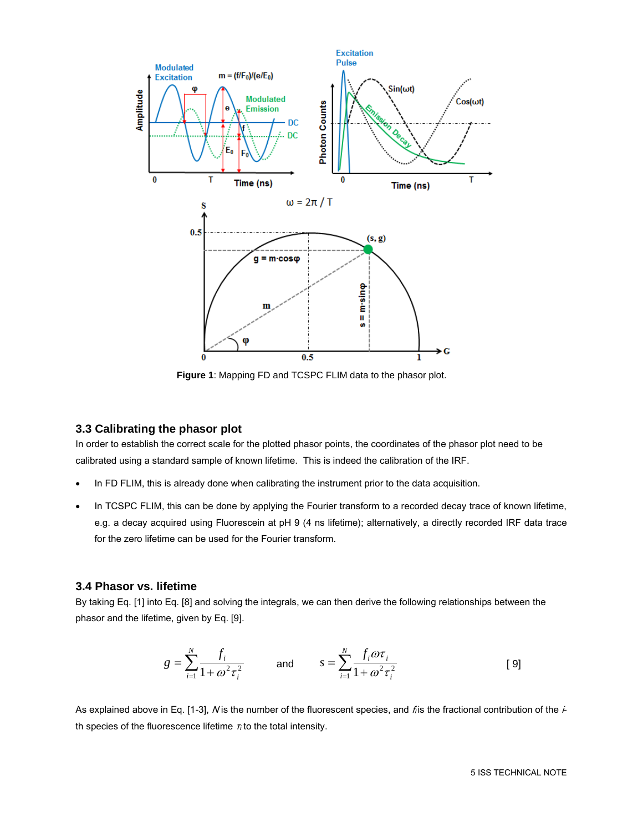

**Figure 1**: Mapping FD and TCSPC FLIM data to the phasor plot.

#### **3.3 Calibrating the phasor plot**

In order to establish the correct scale for the plotted phasor points, the coordinates of the phasor plot need to be calibrated using a standard sample of known lifetime. This is indeed the calibration of the IRF.

- In FD FLIM, this is already done when calibrating the instrument prior to the data acquisition.
- In TCSPC FLIM, this can be done by applying the Fourier transform to a recorded decay trace of known lifetime, e.g. a decay acquired using Fluorescein at pH 9 (4 ns lifetime); alternatively, a directly recorded IRF data trace for the zero lifetime can be used for the Fourier transform.

#### **3.4 Phasor vs. lifetime**

By taking Eq. [1] into Eq. [8] and solving the integrals, we can then derive the following relationships between the phasor and the lifetime, given by Eq. [9].

$$
g = \sum_{i=1}^{N} \frac{f_i}{1 + \omega^2 \tau_i^2} \quad \text{and} \quad s = \sum_{i=1}^{N} \frac{f_i \omega \tau_i}{1 + \omega^2 \tau_i^2} \tag{9}
$$

As explained above in Eq. [1-3], N is the number of the fluorescent species, and  $f$  is the fractional contribution of the  $\dot{+}$ th species of the fluorescence lifetime  $\tau_i$  to the total intensity.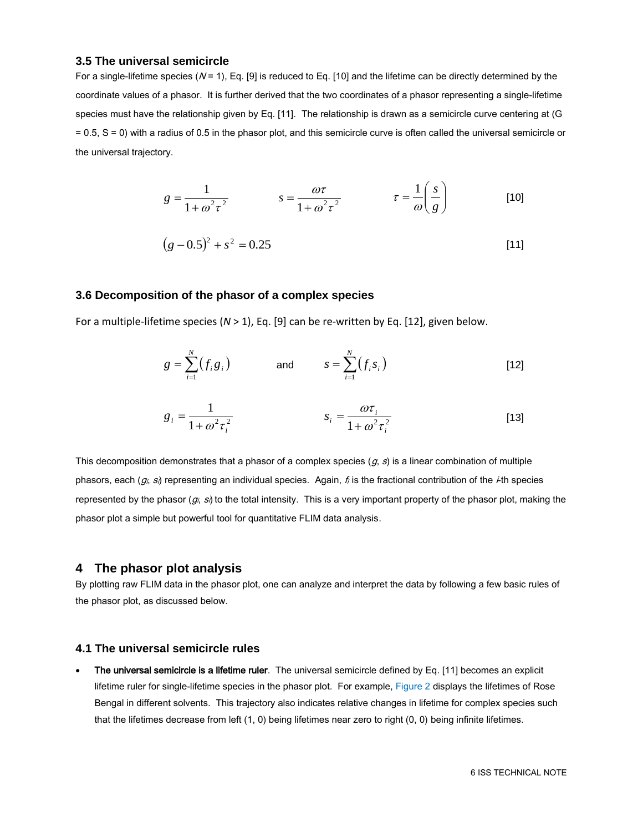#### **3.5 The universal semicircle**

For a single-lifetime species ( $N = 1$ ), Eq. [9] is reduced to Eq. [10] and the lifetime can be directly determined by the coordinate values of a phasor. It is further derived that the two coordinates of a phasor representing a single-lifetime species must have the relationship given by Eq. [11]. The relationship is drawn as a semicircle curve centering at (G = 0.5, S = 0) with a radius of 0.5 in the phasor plot, and this semicircle curve is often called the universal semicircle or the universal trajectory.

$$
g = \frac{1}{1 + \omega^2 \tau^2} \qquad \qquad s = \frac{\omega \tau}{1 + \omega^2 \tau^2} \qquad \qquad \tau = \frac{1}{\omega} \left( \frac{s}{g} \right) \qquad \qquad [10]
$$

$$
(g-0.5)^2 + s^2 = 0.25\tag{11}
$$

#### **3.6 Decomposition of the phasor of a complex species**

For a multiple-lifetime species (*N* > 1), Eq. [9] can be re-written by Eq. [12], given below.

$$
g = \sum_{i=1}^{N} (f_i g_i)
$$
 and 
$$
s = \sum_{i=1}^{N} (f_i s_i)
$$
 [12]

$$
g_i = \frac{1}{1 + \omega^2 \tau_i^2} \qquad \qquad s_i = \frac{\omega \tau_i}{1 + \omega^2 \tau_i^2} \qquad [13]
$$

This decomposition demonstrates that a phasor of a complex species  $(g, s)$  is a linear combination of multiple phasors, each  $(g_i, s_i)$  representing an individual species. Again,  $f_i$  is the fractional contribution of the  $\neq$ th species represented by the phasor  $(g_i, s)$  to the total intensity. This is a very important property of the phasor plot, making the phasor plot a simple but powerful tool for quantitative FLIM data analysis.

#### **4 The phasor plot analysis**

By plotting raw FLIM data in the phasor plot, one can analyze and interpret the data by following a few basic rules of the phasor plot, as discussed below.

#### **4.1 The universal semicircle rules**

The universal semicircle is a lifetime ruler. The universal semicircle defined by Eq. [11] becomes an explicit lifetime ruler for single-lifetime species in the phasor plot. For example, Figure 2 displays the lifetimes of Rose Bengal in different solvents. This trajectory also indicates relative changes in lifetime for complex species such that the lifetimes decrease from left (1, 0) being lifetimes near zero to right (0, 0) being infinite lifetimes.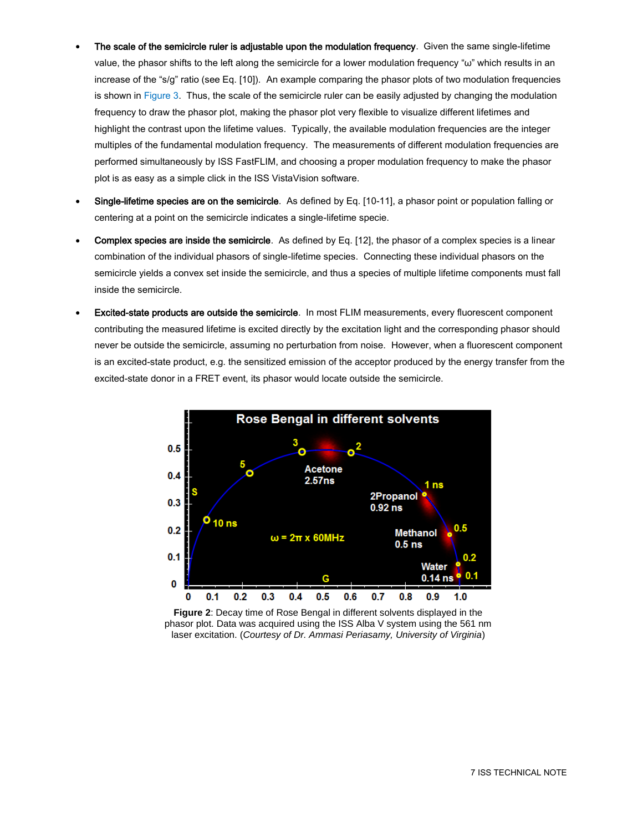- The scale of the semicircle ruler is adjustable upon the modulation frequency. Given the same single-lifetime value, the phasor shifts to the left along the semicircle for a lower modulation frequency "ω" which results in an increase of the "s/g" ratio (see Eq. [10]). An example comparing the phasor plots of two modulation frequencies is shown in Figure 3. Thus, the scale of the semicircle ruler can be easily adjusted by changing the modulation frequency to draw the phasor plot, making the phasor plot very flexible to visualize different lifetimes and highlight the contrast upon the lifetime values. Typically, the available modulation frequencies are the integer multiples of the fundamental modulation frequency. The measurements of different modulation frequencies are performed simultaneously by ISS FastFLIM, and choosing a proper modulation frequency to make the phasor plot is as easy as a simple click in the ISS VistaVision software.
- Single-lifetime species are on the semicircle. As defined by Eq. [10-11], a phasor point or population falling or centering at a point on the semicircle indicates a single-lifetime specie.
- Complex species are inside the semicircle. As defined by Eq. [12], the phasor of a complex species is a linear combination of the individual phasors of single-lifetime species. Connecting these individual phasors on the semicircle yields a convex set inside the semicircle, and thus a species of multiple lifetime components must fall inside the semicircle.
- Excited-state products are outside the semicircle. In most FLIM measurements, every fluorescent component contributing the measured lifetime is excited directly by the excitation light and the corresponding phasor should never be outside the semicircle, assuming no perturbation from noise. However, when a fluorescent component is an excited-state product, e.g. the sensitized emission of the acceptor produced by the energy transfer from the excited-state donor in a FRET event, its phasor would locate outside the semicircle.



**Figure 2**: Decay time of Rose Bengal in different solvents displayed in the phasor plot. Data was acquired using the ISS Alba V system using the 561 nm laser excitation. (*Courtesy of Dr. Ammasi Periasamy, University of Virginia*)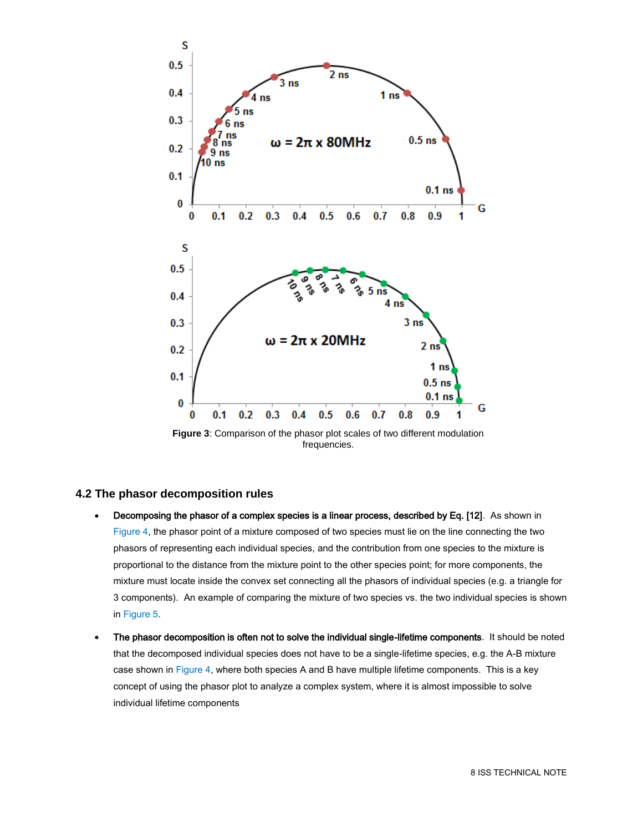

**Figure 3**: Comparison of the phasor plot scales of two different modulation frequencies.

#### **4.2 The phasor decomposition rules**

- Decomposing the phasor of a complex species is a linear process, described by Eq. [12]. As shown in Figure 4, the phasor point of a mixture composed of two species must lie on the line connecting the two phasors of representing each individual species, and the contribution from one species to the mixture is proportional to the distance from the mixture point to the other species point; for more components, the mixture must locate inside the convex set connecting all the phasors of individual species (e.g. a triangle for 3 components). An example of comparing the mixture of two species vs. the two individual species is shown in Figure 5.
- The phasor decomposition is often not to solve the individual single-lifetime components. It should be noted that the decomposed individual species does not have to be a single-lifetime species, e.g. the A-B mixture case shown in Figure 4, where both species A and B have multiple lifetime components. This is a key concept of using the phasor plot to analyze a complex system, where it is almost impossible to solve individual lifetime components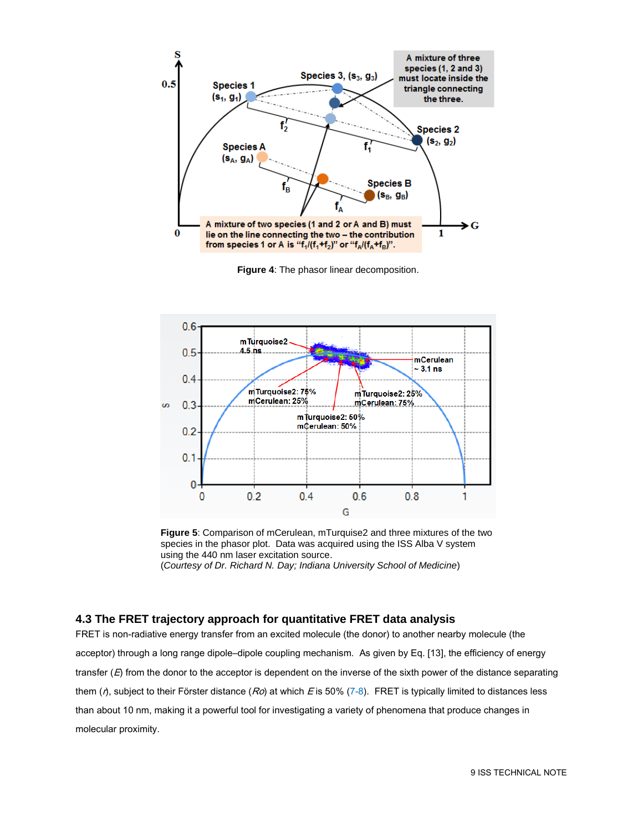

**Figure 4**: The phasor linear decomposition.



**Figure 5**: Comparison of mCerulean, mTurquise2 and three mixtures of the two species in the phasor plot. Data was acquired using the ISS Alba V system using the 440 nm laser excitation source. (*Courtesy of Dr. Richard N. Day; Indiana University School of Medicine*)

## **4.3 The FRET trajectory approach for quantitative FRET data analysis**

FRET is non-radiative energy transfer from an excited molecule (the donor) to another nearby molecule (the acceptor) through a long range dipole–dipole coupling mechanism. As given by Eq. [13], the efficiency of energy transfer  $(E)$  from the donor to the acceptor is dependent on the inverse of the sixth power of the distance separating them ( $r$ ), subject to their Förster distance ( $Ro$ ) at which E is 50% (7-8). FRET is typically limited to distances less than about 10 nm, making it a powerful tool for investigating a variety of phenomena that produce changes in molecular proximity.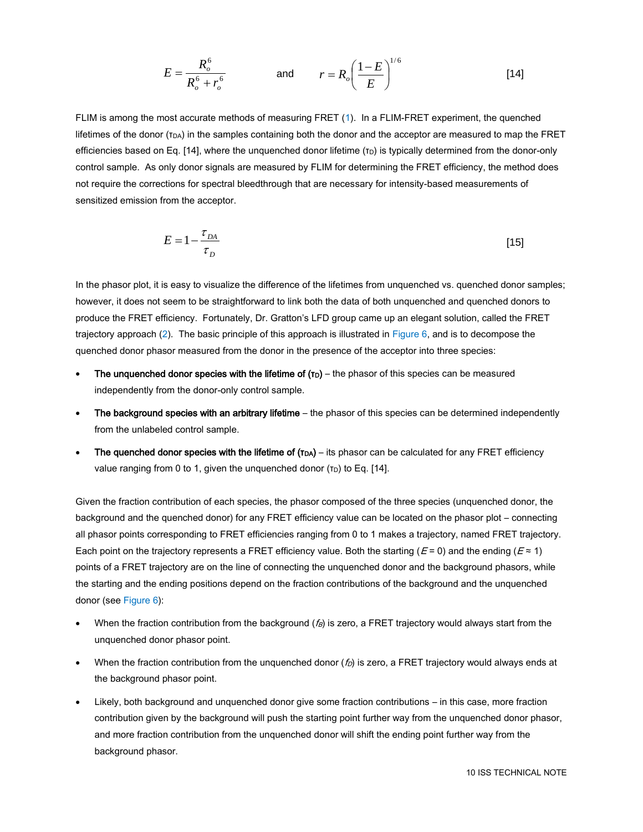$$
E = \frac{R_o^6}{R_o^6 + r_o^6}
$$
 and  $r = R_o \left(\frac{1 - E}{E}\right)^{1/6}$  [14]

FLIM is among the most accurate methods of measuring FRET (1). In a FLIM-FRET experiment, the quenched lifetimes of the donor  $(r_{DA})$  in the samples containing both the donor and the acceptor are measured to map the FRET efficiencies based on Eq. [14], where the unquenched donor lifetime  $(\tau_D)$  is typically determined from the donor-only control sample. As only donor signals are measured by FLIM for determining the FRET efficiency, the method does not require the corrections for spectral bleedthrough that are necessary for intensity-based measurements of sensitized emission from the acceptor.

$$
E = 1 - \frac{\tau_{DA}}{\tau_D} \tag{15}
$$

In the phasor plot, it is easy to visualize the difference of the lifetimes from unquenched vs. quenched donor samples; however, it does not seem to be straightforward to link both the data of both unquenched and quenched donors to produce the FRET efficiency. Fortunately, Dr. Gratton's LFD group came up an elegant solution, called the FRET trajectory approach (2). The basic principle of this approach is illustrated in Figure 6, and is to decompose the quenched donor phasor measured from the donor in the presence of the acceptor into three species:

- The unquenched donor species with the lifetime of  $(\tau_D)$  the phasor of this species can be measured independently from the donor-only control sample.
- The background species with an arbitrary lifetime the phasor of this species can be determined independently from the unlabeled control sample.
- The quenched donor species with the lifetime of  $(TDA)$  its phasor can be calculated for any FRET efficiency value ranging from 0 to 1, given the unquenched donor  $(\tau_D)$  to Eq. [14].

Given the fraction contribution of each species, the phasor composed of the three species (unquenched donor, the background and the quenched donor) for any FRET efficiency value can be located on the phasor plot – connecting all phasor points corresponding to FRET efficiencies ranging from 0 to 1 makes a trajectory, named FRET trajectory. Each point on the trajectory represents a FRET efficiency value. Both the starting ( $E = 0$ ) and the ending ( $E \approx 1$ ) points of a FRET trajectory are on the line of connecting the unquenched donor and the background phasors, while the starting and the ending positions depend on the fraction contributions of the background and the unquenched donor (see Figure 6):

- When the fraction contribution from the background  $(f_B)$  is zero, a FRET trajectory would always start from the unquenched donor phasor point.
- When the fraction contribution from the unquenched donor  $(f_D)$  is zero, a FRET trajectory would always ends at the background phasor point.
- Likely, both background and unquenched donor give some fraction contributions in this case, more fraction contribution given by the background will push the starting point further way from the unquenched donor phasor, and more fraction contribution from the unquenched donor will shift the ending point further way from the background phasor.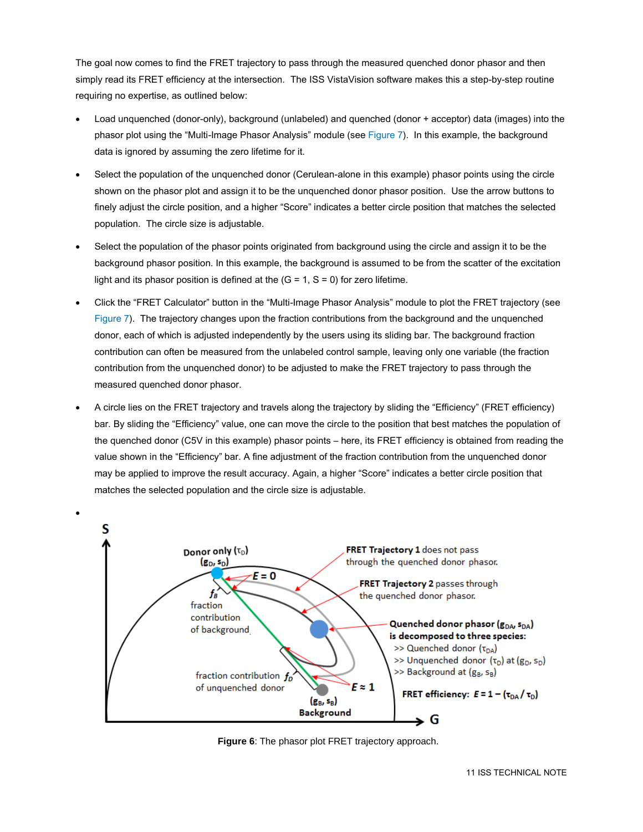The goal now comes to find the FRET trajectory to pass through the measured quenched donor phasor and then simply read its FRET efficiency at the intersection. The ISS VistaVision software makes this a step-by-step routine requiring no expertise, as outlined below:

- Load unquenched (donor-only), background (unlabeled) and quenched (donor + acceptor) data (images) into the phasor plot using the "Multi-Image Phasor Analysis" module (see Figure 7). In this example, the background data is ignored by assuming the zero lifetime for it.
- Select the population of the unquenched donor (Cerulean-alone in this example) phasor points using the circle shown on the phasor plot and assign it to be the unquenched donor phasor position. Use the arrow buttons to finely adjust the circle position, and a higher "Score" indicates a better circle position that matches the selected population. The circle size is adjustable.
- Select the population of the phasor points originated from background using the circle and assign it to be the background phasor position. In this example, the background is assumed to be from the scatter of the excitation light and its phasor position is defined at the  $(G = 1, S = 0)$  for zero lifetime.
- Click the "FRET Calculator" button in the "Multi-Image Phasor Analysis" module to plot the FRET trajectory (see Figure 7). The trajectory changes upon the fraction contributions from the background and the unquenched donor, each of which is adjusted independently by the users using its sliding bar. The background fraction contribution can often be measured from the unlabeled control sample, leaving only one variable (the fraction contribution from the unquenched donor) to be adjusted to make the FRET trajectory to pass through the measured quenched donor phasor.
- A circle lies on the FRET trajectory and travels along the trajectory by sliding the "Efficiency" (FRET efficiency) bar. By sliding the "Efficiency" value, one can move the circle to the position that best matches the population of the quenched donor (C5V in this example) phasor points – here, its FRET efficiency is obtained from reading the value shown in the "Efficiency" bar. A fine adjustment of the fraction contribution from the unquenched donor may be applied to improve the result accuracy. Again, a higher "Score" indicates a better circle position that matches the selected population and the circle size is adjustable.



**Figure 6**: The phasor plot FRET trajectory approach.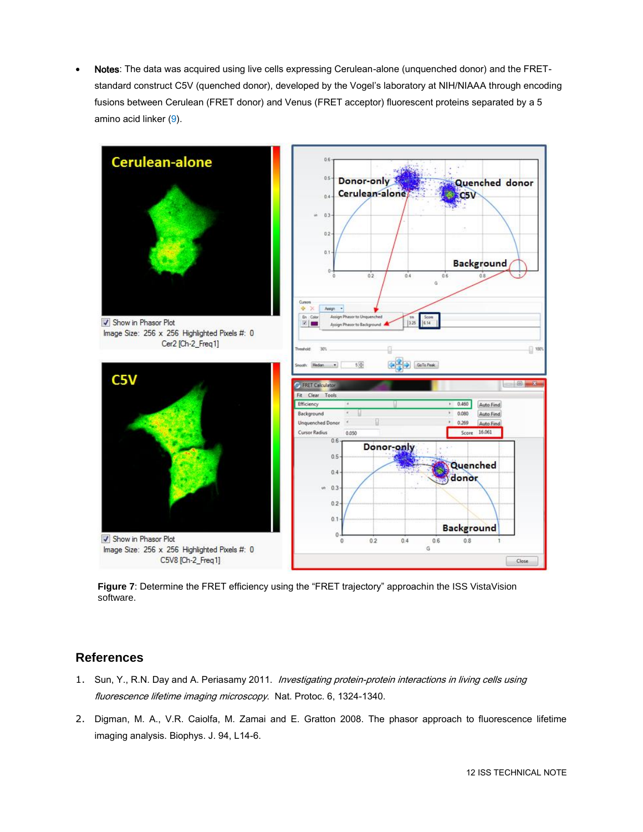Notes: The data was acquired using live cells expressing Cerulean-alone (unquenched donor) and the FRETstandard construct C5V (quenched donor), developed by the Vogel's laboratory at NIH/NIAAA through encoding fusions between Cerulean (FRET donor) and Venus (FRET acceptor) fluorescent proteins separated by a 5 amino acid linker (9).



**Figure 7**: Determine the FRET efficiency using the "FRET trajectory" approachin the ISS VistaVision software.

## **References**

- 1. Sun, Y., R.N. Day and A. Periasamy 2011. Investigating protein-protein interactions in living cells using fluorescence lifetime imaging microscopy. Nat. Protoc. 6, 1324-1340.
- 2. Digman, M. A., V.R. Caiolfa, M. Zamai and E. Gratton 2008. The phasor approach to fluorescence lifetime imaging analysis. Biophys. J. 94, L14-6.